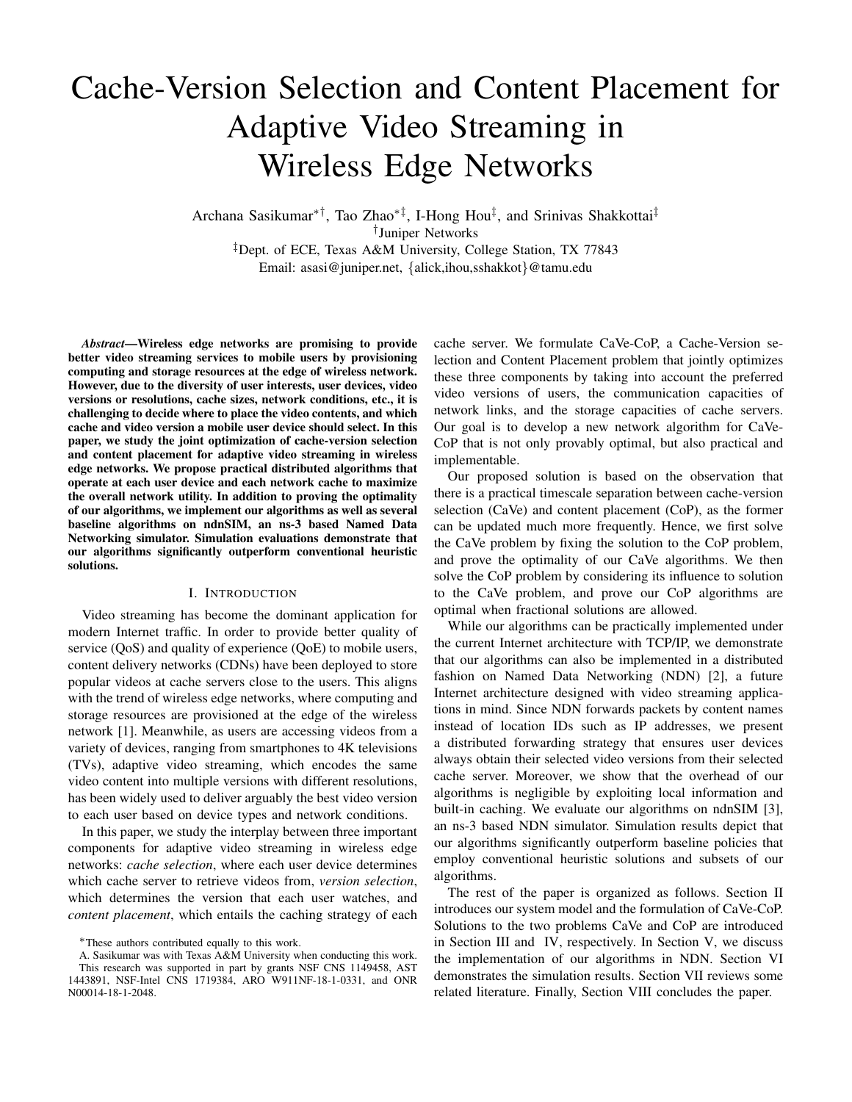# Cache-Version Selection and Content Placement for Adaptive Video Streaming in Wireless Edge Networks

Archana Sasikumar∗†, Tao Zhao∗‡, I-Hong Hou‡ , and Srinivas Shakkottai‡ † Juniper Networks ‡Dept. of ECE, Texas A&M University, College Station, TX 77843 Email: asasi@juniper.net, {alick,ihou,sshakkot}@tamu.edu

*Abstract*—Wireless edge networks are promising to provide better video streaming services to mobile users by provisioning computing and storage resources at the edge of wireless network. However, due to the diversity of user interests, user devices, video versions or resolutions, cache sizes, network conditions, etc., it is challenging to decide where to place the video contents, and which cache and video version a mobile user device should select. In this paper, we study the joint optimization of cache-version selection and content placement for adaptive video streaming in wireless edge networks. We propose practical distributed algorithms that operate at each user device and each network cache to maximize the overall network utility. In addition to proving the optimality of our algorithms, we implement our algorithms as well as several baseline algorithms on ndnSIM, an ns-3 based Named Data Networking simulator. Simulation evaluations demonstrate that our algorithms significantly outperform conventional heuristic solutions.

#### I. INTRODUCTION

Video streaming has become the dominant application for modern Internet traffic. In order to provide better quality of service (QoS) and quality of experience (QoE) to mobile users, content delivery networks (CDNs) have been deployed to store popular videos at cache servers close to the users. This aligns with the trend of wireless edge networks, where computing and storage resources are provisioned at the edge of the wireless network [1]. Meanwhile, as users are accessing videos from a variety of devices, ranging from smartphones to 4K televisions (TVs), adaptive video streaming, which encodes the same video content into multiple versions with different resolutions, has been widely used to deliver arguably the best video version to each user based on device types and network conditions.

In this paper, we study the interplay between three important components for adaptive video streaming in wireless edge networks: *cache selection*, where each user device determines which cache server to retrieve videos from, *version selection*, which determines the version that each user watches, and *content placement*, which entails the caching strategy of each cache server. We formulate CaVe-CoP, a Cache-Version selection and Content Placement problem that jointly optimizes these three components by taking into account the preferred video versions of users, the communication capacities of network links, and the storage capacities of cache servers. Our goal is to develop a new network algorithm for CaVe-CoP that is not only provably optimal, but also practical and implementable.

Our proposed solution is based on the observation that there is a practical timescale separation between cache-version selection (CaVe) and content placement (CoP), as the former can be updated much more frequently. Hence, we first solve the CaVe problem by fixing the solution to the CoP problem, and prove the optimality of our CaVe algorithms. We then solve the CoP problem by considering its influence to solution to the CaVe problem, and prove our CoP algorithms are optimal when fractional solutions are allowed.

While our algorithms can be practically implemented under the current Internet architecture with TCP/IP, we demonstrate that our algorithms can also be implemented in a distributed fashion on Named Data Networking (NDN) [2], a future Internet architecture designed with video streaming applications in mind. Since NDN forwards packets by content names instead of location IDs such as IP addresses, we present a distributed forwarding strategy that ensures user devices always obtain their selected video versions from their selected cache server. Moreover, we show that the overhead of our algorithms is negligible by exploiting local information and built-in caching. We evaluate our algorithms on ndnSIM [3], an ns-3 based NDN simulator. Simulation results depict that our algorithms significantly outperform baseline policies that employ conventional heuristic solutions and subsets of our algorithms.

The rest of the paper is organized as follows. Section II introduces our system model and the formulation of CaVe-CoP. Solutions to the two problems CaVe and CoP are introduced in Section III and IV, respectively. In Section V, we discuss the implementation of our algorithms in NDN. Section VI demonstrates the simulation results. Section VII reviews some related literature. Finally, Section VIII concludes the paper.

<sup>∗</sup>These authors contributed equally to this work.

A. Sasikumar was with Texas A&M University when conducting this work.

This research was supported in part by grants NSF CNS 1149458, AST 1443891, NSF-Intel CNS 1719384, ARO W911NF-18-1-0331, and ONR N00014-18-1-2048.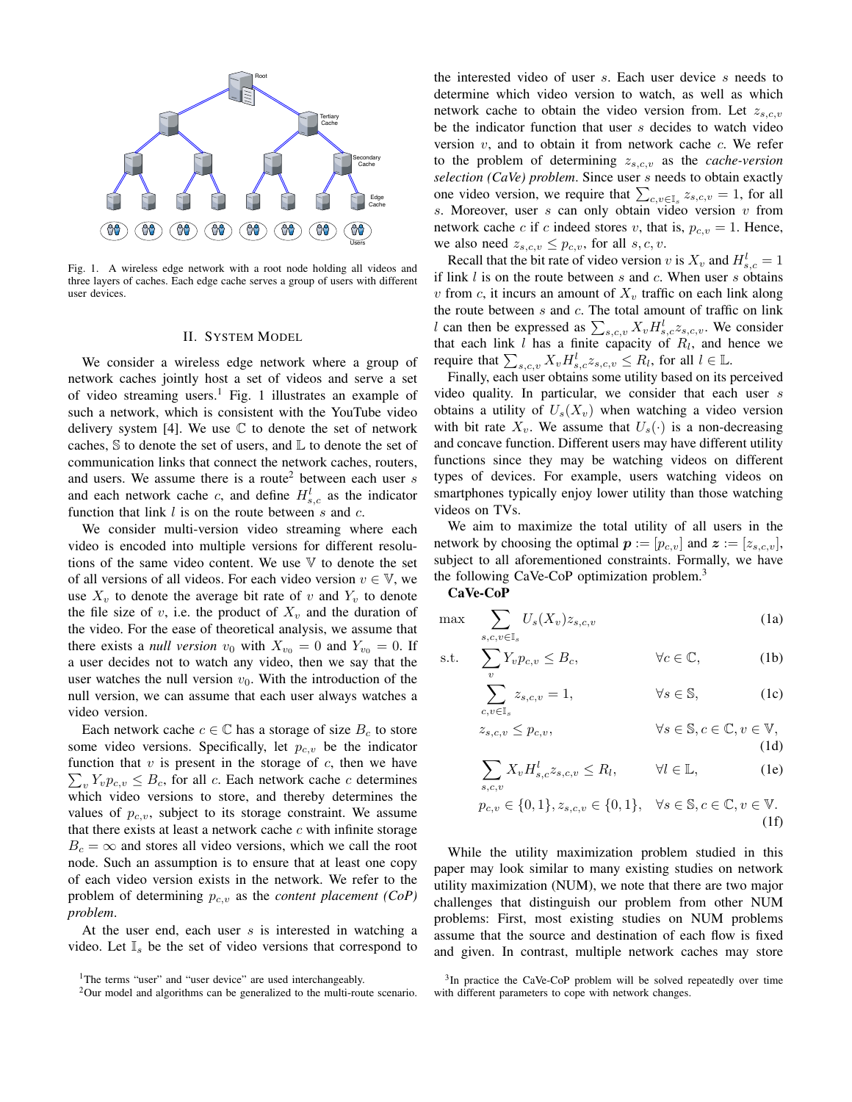

Fig. 1. A wireless edge network with a root node holding all videos and three layers of caches. Each edge cache serves a group of users with different user devices.

#### II. SYSTEM MODEL

We consider a wireless edge network where a group of network caches jointly host a set of videos and serve a set of video streaming users.<sup>1</sup> Fig. 1 illustrates an example of such a network, which is consistent with the YouTube video delivery system [4]. We use  $\mathbb C$  to denote the set of network caches,  $\Im$  to denote the set of users, and  $\mathbb L$  to denote the set of communication links that connect the network caches, routers, and users. We assume there is a route<sup>2</sup> between each user  $s$ and each network cache c, and define  $H_{s,c}^l$  as the indicator function that link  $l$  is on the route between  $s$  and  $c$ .

We consider multi-version video streaming where each video is encoded into multiple versions for different resolutions of the same video content. We use  $V$  to denote the set of all versions of all videos. For each video version  $v \in V$ , we use  $X_v$  to denote the average bit rate of v and  $Y_v$  to denote the file size of v, i.e. the product of  $X<sub>v</sub>$  and the duration of the video. For the ease of theoretical analysis, we assume that there exists a *null version*  $v_0$  with  $X_{v_0} = 0$  and  $Y_{v_0} = 0$ . If a user decides not to watch any video, then we say that the user watches the null version  $v_0$ . With the introduction of the null version, we can assume that each user always watches a video version.

Each network cache  $c \in \mathbb{C}$  has a storage of size  $B_c$  to store some video versions. Specifically, let  $p_{c,v}$  be the indicator function that  $v$  is present in the storage of  $c$ , then we have  $\sum_{v} Y_{v} p_{c,v} \leq B_c$ , for all c. Each network cache c determines which video versions to store, and thereby determines the values of  $p_{c,v}$ , subject to its storage constraint. We assume that there exists at least a network cache  $c$  with infinite storage  $B_c = \infty$  and stores all video versions, which we call the root node. Such an assumption is to ensure that at least one copy of each video version exists in the network. We refer to the problem of determining  $p_{c,v}$  as the *content placement* (CoP) *problem*.

At the user end, each user s is interested in watching a video. Let  $\mathbb{I}_s$  be the set of video versions that correspond to the interested video of user s. Each user device s needs to determine which video version to watch, as well as which network cache to obtain the video version from. Let  $z_{s,c,v}$ be the indicator function that user s decides to watch video version  $v$ , and to obtain it from network cache  $c$ . We refer to the problem of determining  $z_{s,c,v}$  as the *cache-version selection (CaVe) problem*. Since user s needs to obtain exactly one video version, we require that  $\sum_{c,v\in\mathbb{I}_s} z_{s,c,v} = 1$ , for all s. Moreover, user  $s$  can only obtain video version  $v$  from network cache c if c indeed stores v, that is,  $p_{c,v} = 1$ . Hence, we also need  $z_{s,c,v} \leq p_{c,v}$ , for all  $s, c, v$ .

Recall that the bit rate of video version v is  $X_v$  and  $H_{s,c}^l = 1$ if link  $l$  is on the route between  $s$  and  $c$ . When user  $s$  obtains v from c, it incurs an amount of  $X_v$  traffic on each link along the route between  $s$  and  $c$ . The total amount of traffic on link l can then be expressed as  $\sum_{s,c,v} X_v H_{s,c}^l z_{s,c,v}$ . We consider that each link  $l$  has a finite capacity of  $R_l$ , and hence we require that  $\sum_{s,c,v} X_v H_{s,c}^l z_{s,c,v} \le R_l$ , for all  $l \in \mathbb{L}$ .

Finally, each user obtains some utility based on its perceived video quality. In particular, we consider that each user s obtains a utility of  $U_s(X_v)$  when watching a video version with bit rate  $X_v$ . We assume that  $U_s(\cdot)$  is a non-decreasing and concave function. Different users may have different utility functions since they may be watching videos on different types of devices. For example, users watching videos on smartphones typically enjoy lower utility than those watching videos on TVs.

We aim to maximize the total utility of all users in the network by choosing the optimal  $p := [p_{c,v}]$  and  $z := [z_{s,c,v}]$ , subject to all aforementioned constraints. Formally, we have the following CaVe-CoP optimization problem.<sup>3</sup>

CaVe-CoP

$$
\max \sum_{s,c,v \in \mathbb{I}_s} U_s(X_v) z_{s,c,v} \tag{1a}
$$

s.t. 
$$
\sum_{v} Y_{v} p_{c,v} \leq B_{c}, \qquad \forall c \in \mathbb{C}, \qquad (1b)
$$

$$
\sum_{c,v \in \mathbb{I}_s} z_{s,c,v} = 1, \qquad \forall s \in \mathbb{S}, \qquad (1c)
$$

$$
z_{s,c,v} \le p_{c,v}, \qquad \forall s \in \mathbb{S}, c \in \mathbb{C}, v \in \mathbb{V},
$$
\n(1d)

$$
\sum_{s,c,v} X_v H_{s,c}^l z_{s,c,v} \le R_l, \qquad \forall l \in \mathbb{L}, \qquad (1e)
$$

$$
p_{c,v} \in \{0,1\}, z_{s,c,v} \in \{0,1\}, \quad \forall s \in \mathbb{S}, c \in \mathbb{C}, v \in \mathbb{V}.
$$
\n(1f)

While the utility maximization problem studied in this paper may look similar to many existing studies on network utility maximization (NUM), we note that there are two major challenges that distinguish our problem from other NUM problems: First, most existing studies on NUM problems assume that the source and destination of each flow is fixed and given. In contrast, multiple network caches may store

<sup>&</sup>lt;sup>1</sup>The terms "user" and "user device" are used interchangeably.

<sup>&</sup>lt;sup>2</sup>Our model and algorithms can be generalized to the multi-route scenario.

<sup>&</sup>lt;sup>3</sup>In practice the CaVe-CoP problem will be solved repeatedly over time with different parameters to cope with network changes.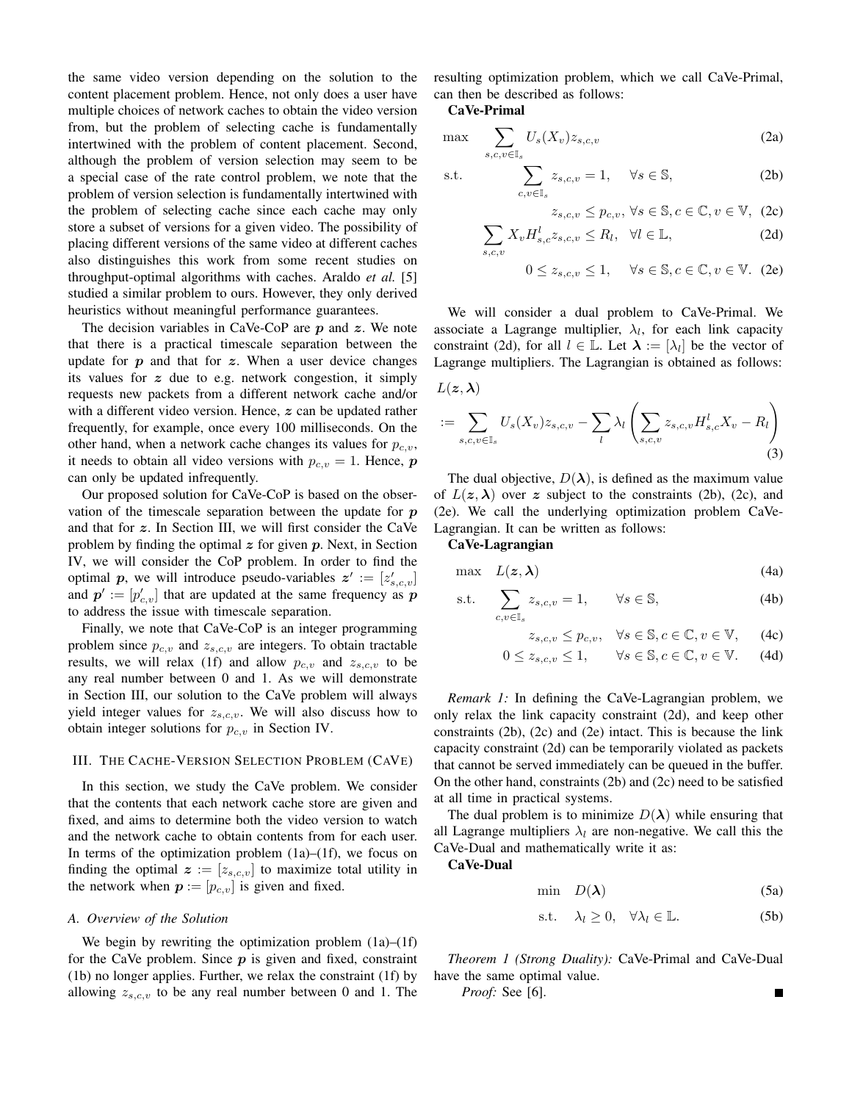the same video version depending on the solution to the content placement problem. Hence, not only does a user have multiple choices of network caches to obtain the video version from, but the problem of selecting cache is fundamentally intertwined with the problem of content placement. Second, although the problem of version selection may seem to be a special case of the rate control problem, we note that the problem of version selection is fundamentally intertwined with the problem of selecting cache since each cache may only store a subset of versions for a given video. The possibility of placing different versions of the same video at different caches also distinguishes this work from some recent studies on throughput-optimal algorithms with caches. Araldo *et al.* [5] studied a similar problem to ours. However, they only derived heuristics without meaningful performance guarantees.

The decision variables in CaVe-CoP are  $p$  and  $z$ . We note that there is a practical timescale separation between the update for  $p$  and that for  $z$ . When a user device changes its values for z due to e.g. network congestion, it simply requests new packets from a different network cache and/or with a different video version. Hence, z can be updated rather frequently, for example, once every 100 milliseconds. On the other hand, when a network cache changes its values for  $p_{c,v}$ , it needs to obtain all video versions with  $p_{c,v} = 1$ . Hence, p can only be updated infrequently.

Our proposed solution for CaVe-CoP is based on the observation of the timescale separation between the update for  $p$ and that for z. In Section III, we will first consider the CaVe problem by finding the optimal  $z$  for given  $p$ . Next, in Section IV, we will consider the CoP problem. In order to find the optimal p, we will introduce pseudo-variables  $z' := [z'_{s,c,v}]$ and  $p' := [p'_{c,v}]$  that are updated at the same frequency as p to address the issue with timescale separation.

Finally, we note that CaVe-CoP is an integer programming problem since  $p_{c,v}$  and  $z_{s,c,v}$  are integers. To obtain tractable results, we will relax (1f) and allow  $p_{c,v}$  and  $z_{s,c,v}$  to be any real number between 0 and 1. As we will demonstrate in Section III, our solution to the CaVe problem will always yield integer values for  $z_{s,c,v}$ . We will also discuss how to obtain integer solutions for  $p_{c,v}$  in Section IV.

#### III. THE CACHE-VERSION SELECTION PROBLEM (CAVE)

In this section, we study the CaVe problem. We consider that the contents that each network cache store are given and fixed, and aims to determine both the video version to watch and the network cache to obtain contents from for each user. In terms of the optimization problem  $(1a)$ – $(1f)$ , we focus on finding the optimal  $z := [z_{s,c,v}]$  to maximize total utility in the network when  $p := [p_{c,v}]$  is given and fixed.

## *A. Overview of the Solution*

We begin by rewriting the optimization problem  $(1a)$ – $(1f)$ for the CaVe problem. Since  $p$  is given and fixed, constraint (1b) no longer applies. Further, we relax the constraint (1f) by allowing  $z_{s,c,v}$  to be any real number between 0 and 1. The resulting optimization problem, which we call CaVe-Primal, can then be described as follows:

CaVe-Primal

$$
\max \sum_{s,c,v \in \mathbb{I}_s} U_s(X_v) z_{s,c,v} \tag{2a}
$$

$$
\text{s.t.} \qquad \sum_{c,v \in \mathbb{I}_s} z_{s,c,v} = 1, \quad \forall s \in \mathbb{S}, \tag{2b}
$$

$$
z_{s,c,v} \le p_{c,v}, \,\forall s \in \mathbb{S}, c \in \mathbb{C}, v \in \mathbb{V}, \tag{2c}
$$

$$
\sum_{s,c,v} X_v H_{s,c}^l z_{s,c,v} \le R_l, \quad \forall l \in \mathbb{L},\tag{2d}
$$

$$
0 \le z_{s,c,v} \le 1, \quad \forall s \in \mathbb{S}, c \in \mathbb{C}, v \in \mathbb{V}. \tag{2e}
$$

We will consider a dual problem to CaVe-Primal. We associate a Lagrange multiplier,  $\lambda_l$ , for each link capacity constraint (2d), for all  $l \in \mathbb{L}$ . Let  $\lambda := [\lambda_l]$  be the vector of Lagrange multipliers. The Lagrangian is obtained as follows:

$$
L(\mathbf{z}, \boldsymbol{\lambda})
$$
  

$$
:= \sum_{s,c,v \in \mathbb{I}_s} U_s(X_v) z_{s,c,v} - \sum_l \lambda_l \left( \sum_{s,c,v} z_{s,c,v} H_{s,c}^l X_v - R_l \right)
$$
  
(3)

The dual objective,  $D(\lambda)$ , is defined as the maximum value of  $L(z, \lambda)$  over z subject to the constraints (2b), (2c), and (2e). We call the underlying optimization problem CaVe-Lagrangian. It can be written as follows:

CaVe-Lagrangian

$$
\max L(z, \lambda) \tag{4a}
$$

$$
\text{s.t.} \quad \sum_{c,v \in \mathbb{I}_s} z_{s,c,v} = 1, \qquad \forall s \in \mathbb{S}, \tag{4b}
$$

$$
z_{s,c,v} \le p_{c,v}, \quad \forall s \in \mathbb{S}, c \in \mathbb{C}, v \in \mathbb{V}, \qquad \text{(4c)}
$$

$$
0 \le z_{s,c,v} \le 1, \qquad \forall s \in \mathbb{S}, c \in \mathbb{C}, v \in \mathbb{V}.
$$
 (4d)

*Remark 1:* In defining the CaVe-Lagrangian problem, we only relax the link capacity constraint (2d), and keep other constraints (2b), (2c) and (2e) intact. This is because the link capacity constraint (2d) can be temporarily violated as packets that cannot be served immediately can be queued in the buffer. On the other hand, constraints (2b) and (2c) need to be satisfied at all time in practical systems.

The dual problem is to minimize  $D(\lambda)$  while ensuring that all Lagrange multipliers  $\lambda_l$  are non-negative. We call this the CaVe-Dual and mathematically write it as:

# CaVe-Dual

 $P<sub>I</sub>$ 

$$
\min \quad D(\lambda) \tag{5a}
$$

$$
\text{s.t.} \quad \lambda_l \ge 0, \quad \forall \lambda_l \in \mathbb{L}. \tag{5b}
$$

*Theorem 1 (Strong Duality):* CaVe-Primal and CaVe-Dual have the same optimal value.

$$
oof: \text{See } [6]. \square
$$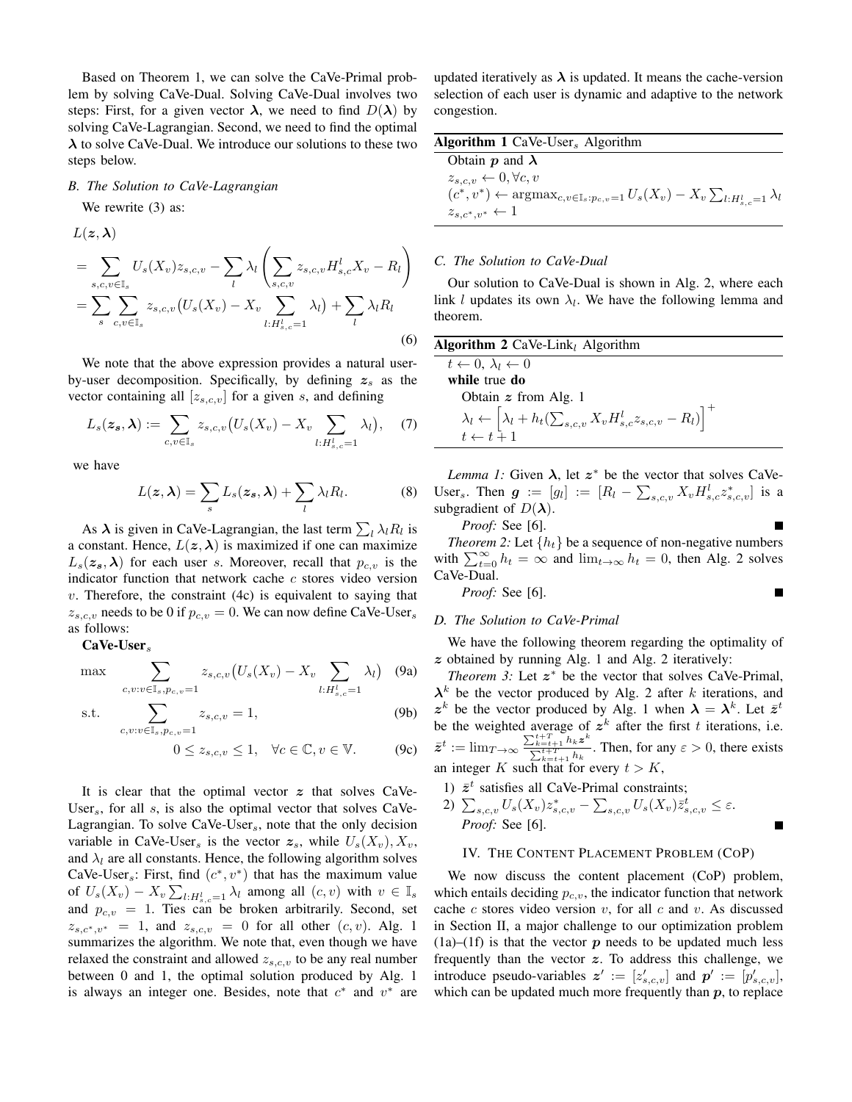Based on Theorem 1, we can solve the CaVe-Primal problem by solving CaVe-Dual. Solving CaVe-Dual involves two steps: First, for a given vector  $\lambda$ , we need to find  $D(\lambda)$  by solving CaVe-Lagrangian. Second, we need to find the optimal  $\lambda$  to solve CaVe-Dual. We introduce our solutions to these two steps below.

#### *B. The Solution to CaVe-Lagrangian*

We rewrite  $(3)$  as:

$$
L(\mathbf{z}, \boldsymbol{\lambda})
$$
  
= 
$$
\sum_{s,c,v \in \mathbb{I}_s} U_s(X_v) z_{s,c,v} - \sum_l \lambda_l \left( \sum_{s,c,v} z_{s,c,v} H_{s,c}^l X_v - R_l \right)
$$
  
= 
$$
\sum_s \sum_{c,v \in \mathbb{I}_s} z_{s,c,v} \left( U_s(X_v) - X_v \sum_{l:H_{s,c}^l=1} \lambda_l \right) + \sum_l \lambda_l R_l
$$
  
(6)

We note that the above expression provides a natural userby-user decomposition. Specifically, by defining  $z_s$  as the vector containing all  $[z_{s,c,v}]$  for a given s, and defining

$$
L_s(\boldsymbol{z}_s, \boldsymbol{\lambda}) := \sum_{c,v \in \mathbb{I}_s} z_{s,c,v} \big( U_s(X_v) - X_v \sum_{l: H_{s,c}^l = 1} \lambda_l \big), \quad (7)
$$

we have

$$
L(z,\lambda) = \sum_{s} L_s(z_s,\lambda) + \sum_{l} \lambda_l R_l.
$$
 (8)

As  $\lambda$  is given in CaVe-Lagrangian, the last term  $\sum_{l} \lambda_l R_l$  is a constant. Hence,  $L(z, \lambda)$  is maximized if one can maximize  $L_s(z_s,\lambda)$  for each user s. Moreover, recall that  $p_{c,v}$  is the indicator function that network cache c stores video version  $v$ . Therefore, the constraint (4c) is equivalent to saying that  $z_{s,c,v}$  needs to be 0 if  $p_{c,v} = 0$ . We can now define CaVe-User<sub>s</sub> as follows:

## $CaVe-User<sub>s</sub>$

 $\max$   $\sum$ 

$$
c, v: v \in \mathbb{I}_s, p_c, v = 1
$$
  
s.t. 
$$
\sum z_{s,c,v} = 1,
$$
 (9b)

$$
c, v: v \in \mathbb{I}_s, p_{c,v} = 1
$$
  
 
$$
0 \le z_{s,c,v} \le 1, \quad \forall c \in \mathbb{C}, v \in \mathbb{V}.
$$
 (9c)

 $z_{s,c,v}(U_s(X_v) - X_v)$ 

 $\lambda_l$ ) (9a)

It is clear that the optimal vector  $z$  that solves CaVe-User<sub>s</sub>, for all s, is also the optimal vector that solves CaVe-Lagrangian. To solve  $Cave-User_s$ , note that the only decision variable in CaVe-User<sub>s</sub> is the vector  $z_s$ , while  $U_s(X_v)$ ,  $X_v$ , and  $\lambda_l$  are all constants. Hence, the following algorithm solves CaVe-User<sub>s</sub>: First, find  $(c^*, v^*)$  that has the maximum value of  $U_s(X_v) - X_v \sum_{l:H_{s,c}^l=1} \lambda_l$  among all  $(c, v)$  with  $v \in \mathbb{I}_s$ and  $p_{c,v} = 1$ . Ties can be broken arbitrarily. Second, set  $z_{s,c^*,v^*}$  = 1, and  $z_{s,c,v}$  = 0 for all other  $(c, v)$ . Alg. 1 summarizes the algorithm. We note that, even though we have relaxed the constraint and allowed  $z_{s,c,v}$  to be any real number between 0 and 1, the optimal solution produced by Alg. 1 is always an integer one. Besides, note that  $c^*$  and  $v^*$  are updated iteratively as  $\lambda$  is updated. It means the cache-version selection of each user is dynamic and adaptive to the network congestion.

|  | <b>Algorithm 1</b> CaVe-User <sub>s</sub> Algorithm |  |
|--|-----------------------------------------------------|--|
|--|-----------------------------------------------------|--|

| Obtain $p$ and $\lambda$                                                                                                             |  |
|--------------------------------------------------------------------------------------------------------------------------------------|--|
| $z_{s,c,v} \leftarrow 0, \forall c, v$                                                                                               |  |
| $(c^*, v^*) \leftarrow \operatorname{argmax}_{c, v \in \mathbb{I}_s : p_{c,v} = 1} U_s(X_v) - X_v \sum_{l: H^l_{s,c} = 1} \lambda_l$ |  |
| $z_{s,c^*,v^*} \leftarrow 1$                                                                                                         |  |

## *C. The Solution to CaVe-Dual*

Our solution to CaVe-Dual is shown in Alg. 2, where each link l updates its own  $\lambda_l$ . We have the following lemma and theorem.

| <b>Algorithm 2</b> CaVe-Link <sub>l</sub> Algorithm                                                                         |  |
|-----------------------------------------------------------------------------------------------------------------------------|--|
| $t \leftarrow 0, \lambda_l \leftarrow 0$                                                                                    |  |
| while true do                                                                                                               |  |
| Obtain $z$ from Alg. 1                                                                                                      |  |
| $\lambda_l \leftarrow \left[ \lambda_l + h_t(\sum_{s,c,v} X_v H_{s,c}^l z_{s,c,v} - R_l) \right]^+$<br>$t \leftarrow t + 1$ |  |

*Lemma 1:* Given  $\lambda$ , let  $z^*$  be the vector that solves CaVe-User<sub>s</sub>. Then  $g := [g_l] := [R_l - \sum_{s,c,v} X_v H_{s,c}^l z_{s,c,v}^*]$  is a subgradient of  $D(\lambda)$ .

*Proof:* See [6].

*Theorem 2:* Let  $\{h_t\}$  be a sequence of non-negative numbers with  $\sum_{t=0}^{\infty} h_t = \infty$  and  $\lim_{t\to\infty} h_t = 0$ , then Alg. 2 solves CaVe-Dual.

г

*Proof:* See [6].

# *D. The Solution to CaVe-Primal*

We have the following theorem regarding the optimality of  $z$  obtained by running Alg. 1 and Alg. 2 iteratively:

*Theorem 3:* Let  $z^*$  be the vector that solves CaVe-Primal,  $\lambda^k$  be the vector produced by Alg. 2 after k iterations, and  $z^k$  be the vector produced by Alg. 1 when  $\lambda = \lambda^k$ . Let  $\bar{z}^t$ be the weighted average of  $z^k$  after the first t iterations, i.e.  $\bar{z}^t := \lim_{T \to \infty} \frac{\sum_{k=t+1}^{t+T} h_k z^k}{\sum_{k=t+1}^{t+T} h_k}$  $\frac{2k=t+1}{\sum_{k=t+1}^{t+T} h_k}$ . Then, for any  $\varepsilon > 0$ , there exists an integer K such that for every  $t > K$ ,

- 1)  $\bar{z}^t$  satisfies all CaVe-Primal constraints;
- 2)  $\sum_{s,c,v} U_s(X_v) z_{s,c,v}^* \sum_{s,c,v} U_s(X_v) \overline{z}_{s,c,v}^t \leq \varepsilon.$ *Proof:* See [6].

## IV. THE CONTENT PLACEMENT PROBLEM (COP)

We now discuss the content placement (CoP) problem, which entails deciding  $p_{c,v}$ , the indicator function that network cache  $c$  stores video version  $v$ , for all  $c$  and  $v$ . As discussed in Section II, a major challenge to our optimization problem  $(1a)$ – $(1f)$  is that the vector p needs to be updated much less frequently than the vector  $z$ . To address this challenge, we introduce pseudo-variables  $z' := [z'_{s,c,v}]$  and  $p' := [p'_{s,c,v}]$ , which can be updated much more frequently than  $p$ , to replace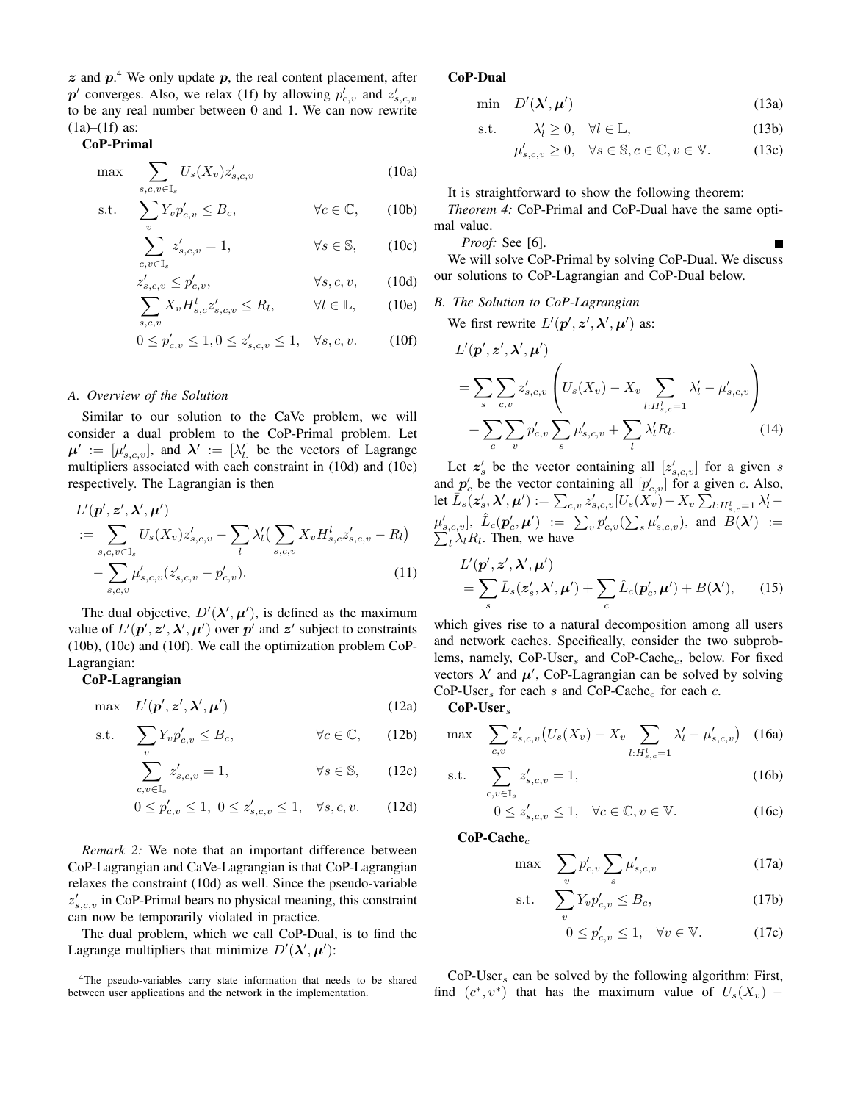$z$  and  $p$ <sup>4</sup>. We only update  $p$ , the real content placement, after  $p'$  converges. Also, we relax (1f) by allowing  $p'_{c,v}$  and  $z'_{s,c,v}$ to be any real number between 0 and 1. We can now rewrite  $(1a)–(1f)$  as:

# CoP-Primal

$$
\max \sum_{s,c,v \in \mathbb{I}_s} U_s(X_v) z'_{s,c,v} \tag{10a}
$$

$$
\text{s.t.} \quad \sum_{v} Y_{v} p'_{c,v} \leq B_{c}, \qquad \forall c \in \mathbb{C}, \qquad \text{(10b)}
$$

$$
\sum_{c.v \in \mathbb{I}_s} z'_{s,c,v} = 1, \qquad \forall s \in \mathbb{S}, \qquad (10c)
$$

$$
z'_{s,c,v} \le p'_{c,v}, \qquad \forall s, c, v,
$$
 (10d)

$$
\sum_{s,c,v} X_v H_{s,c}^l z'_{s,c,v} \le R_l, \qquad \forall l \in \mathbb{L}, \qquad (10e)
$$

$$
0 \le p'_{c,v} \le 1, 0 \le z'_{s,c,v} \le 1, \quad \forall s, c, v. \tag{10f}
$$

#### *A. Overview of the Solution*

Similar to our solution to the CaVe problem, we will consider a dual problem to the CoP-Primal problem. Let  $\mu' := [\mu'_{s,c,v}]$ , and  $\lambda' := [\lambda'_l]$  be the vectors of Lagrange multipliers associated with each constraint in (10d) and (10e) respectively. The Lagrangian is then

$$
L'(\mathbf{p}', \mathbf{z}', \mathbf{\lambda}', \mathbf{\mu}') = \sum_{s,c,v \in \mathbb{I}_s} U_s(X_v) z'_{s,c,v} - \sum_l \lambda'_l \big( \sum_{s,c,v} X_v H^l_{s,c} z'_{s,c,v} - R_l \big) - \sum_{s,c,v} \mu'_{s,c,v} (z'_{s,c,v} - p'_{c,v}).
$$
\n(11)

The dual objective,  $D'(\lambda', \mu')$ , is defined as the maximum value of  $L'(\mathbf{p}', \mathbf{z}', \boldsymbol{\lambda}', \boldsymbol{\mu}')$  over  $\mathbf{p}'$  and  $\mathbf{z}'$  subject to constraints (10b), (10c) and (10f). We call the optimization problem CoP-Lagrangian:

## CoP-Lagrangian

$$
\max L'(\mathbf{p}', \mathbf{z}', \mathbf{\lambda}', \mathbf{\mu}') \tag{12a}
$$

$$
\text{s.t.} \quad \sum_{v} Y_{v} p'_{c,v} \leq B_{c}, \qquad \forall c \in \mathbb{C}, \qquad (12b)
$$

$$
\sum_{c,v \in \mathbb{I}_s} z'_{s,c,v} = 1, \qquad \forall s \in \mathbb{S}, \qquad (12c)
$$

$$
0 \le p'_{c,v} \le 1, \ 0 \le z'_{s,c,v} \le 1, \quad \forall s, c, v. \tag{12d}
$$

*Remark 2:* We note that an important difference between CoP-Lagrangian and CaVe-Lagrangian is that CoP-Lagrangian relaxes the constraint (10d) as well. Since the pseudo-variable  $z'_{s,c,v}$  in CoP-Primal bears no physical meaning, this constraint can now be temporarily violated in practice.

The dual problem, which we call CoP-Dual, is to find the Lagrange multipliers that minimize  $D'(\lambda', \mu')$ :

### CoP-Dual

$$
\min \quad D'(\lambda', \mu') \tag{13a}
$$

$$
\text{s.t.} \qquad \lambda'_l \ge 0, \quad \forall l \in \mathbb{L}, \tag{13b}
$$

$$
\mu'_{s,c,v} \ge 0, \quad \forall s \in \mathbb{S}, c \in \mathbb{C}, v \in \mathbb{V}.
$$
 (13c)

It is straightforward to show the following theorem:

*Theorem 4:* CoP-Primal and CoP-Dual have the same optimal value.

*Proof:* See [6].

We will solve CoP-Primal by solving CoP-Dual. We discuss our solutions to CoP-Lagrangian and CoP-Dual below.

*B. The Solution to CoP-Lagrangian*

We first rewrite  $L'(p', z', \lambda', \mu')$  as:

$$
L'(\mathbf{p}', \mathbf{z}', \mathbf{\lambda}', \mathbf{\mu}') = \sum_{s} \sum_{c,v} z'_{s,c,v} \left( U_s(X_v) - X_v \sum_{l:H_{s,c}^1=1} \lambda'_l - \mu'_{s,c,v} \right) + \sum_{c} \sum_{v} p'_{c,v} \sum_{s} \mu'_{s,c,v} + \sum_{l} \lambda'_l R_l.
$$
 (14)

Let  $z'_s$  be the vector containing all  $[z'_{s,c,v}]$  for a given s and  $p'_c$  be the vector containing all  $[p'_{c,v}]$  for a given c. Also, let  $\overline{L}_s(z_s', \lambda', \mu') := \sum_{c,v} z_{s,c,v}' [U_s(X_v) - X_v \sum_{l:H_{s,c}^l=1} \lambda'_l \mu'_{s,c,v}], \hat{L}_c(\bm{p}'_c,\bm{\mu}') \ := \ \sum_v p'_{c,v}(\sum_s \mu'_{s,c,v}),$  and  $\hat{B}(\bm{\lambda}')$ P ) :=  $_{l}$   $\lambda_{l}R_{l}$ . Then, we have

$$
L'(\mathbf{p}', \mathbf{z}', \boldsymbol{\lambda}', \boldsymbol{\mu}') = \sum_{s} \bar{L}_s(\mathbf{z}'_s, \boldsymbol{\lambda}', \boldsymbol{\mu}') + \sum_{c} \hat{L}_c(\mathbf{p}'_c, \boldsymbol{\mu}') + B(\boldsymbol{\lambda}'), \qquad (15)
$$

which gives rise to a natural decomposition among all users and network caches. Specifically, consider the two subproblems, namely,  $CoP-User_s$  and  $CoP-Cache_c$ , below. For fixed vectors  $\lambda'$  and  $\mu'$ , CoP-Lagrangian can be solved by solving  $CoP-User<sub>s</sub>$  for each s and  $CoP-Cache<sub>c</sub>$  for each c.

 $CoP-User<sub>s</sub>$ 

$$
\max \sum_{c,v} z'_{s,c,v} \left( U_s(X_v) - X_v \sum_{l:H_{s,c}^l=1} \lambda'_l - \mu'_{s,c,v} \right) \tag{16a}
$$

s.t. 
$$
\sum_{c,v \in \mathbb{I}_s} z'_{s,c,v} = 1,
$$
 (16b)

$$
0 \le z'_{s,c,v} \le 1, \quad \forall c \in \mathbb{C}, v \in \mathbb{V}.
$$
 (16c)

 $CoP-Cache<sub>c</sub>$ 

$$
\max \sum_{v} p'_{c,v} \sum_{s} \mu'_{s,c,v} \tag{17a}
$$

$$
\text{s.t.} \quad \sum_{v} Y_v p'_{c,v} \leq B_c,\tag{17b}
$$

$$
0 \le p'_{c,v} \le 1, \quad \forall v \in \mathbb{V}.\tag{17c}
$$

 $CoP-User<sub>s</sub>$  can be solved by the following algorithm: First, find  $(c^*, v^*)$  that has the maximum value of  $U_s(X_v)$  –

<sup>&</sup>lt;sup>4</sup>The pseudo-variables carry state information that needs to be shared between user applications and the network in the implementation.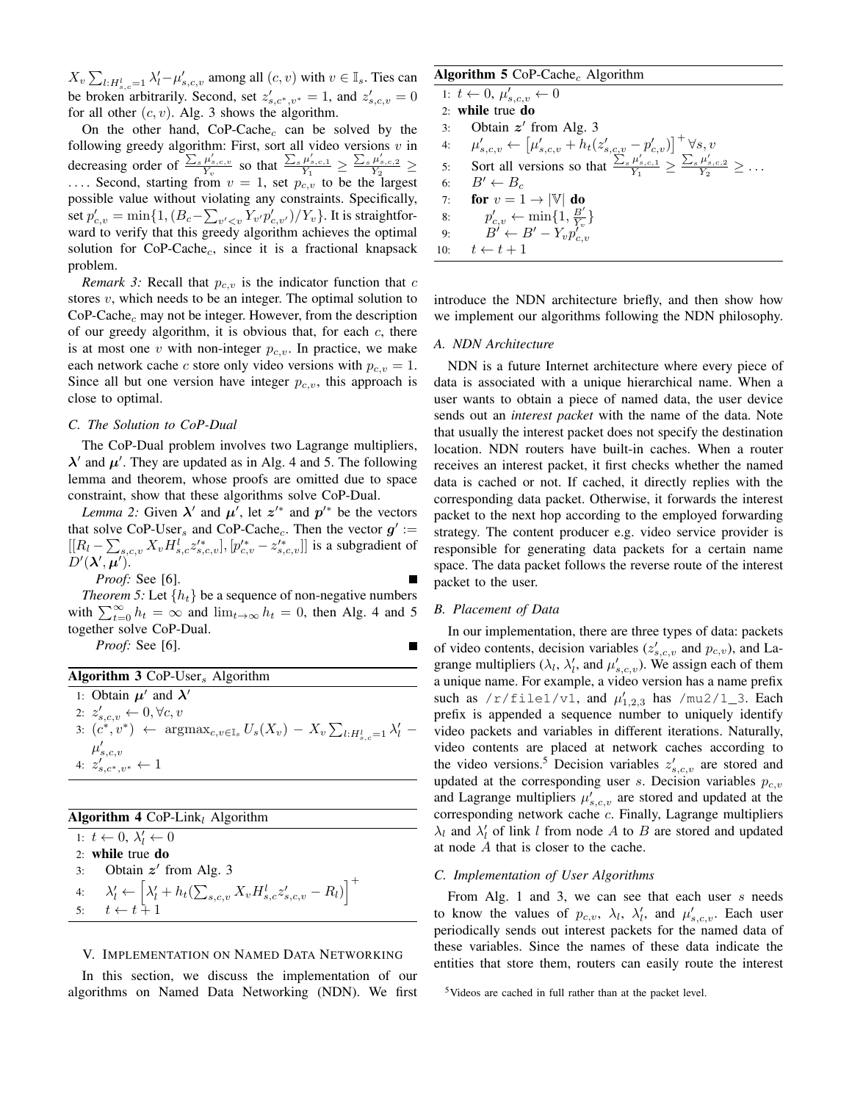$X_v \sum_{l:H_{s,c}^l=1} \lambda'_l - \mu'_{s,c,v}$  among all  $(c, v)$  with  $v \in \mathbb{I}_s$ . Ties can be broken arbitrarily. Second, set  $z'_{s,c^*,v^*} = 1$ , and  $z'_{s,c,v} = 0$ for all other  $(c, v)$ . Alg. 3 shows the algorithm.

On the other hand,  $CoP-Cache<sub>c</sub>$  can be solved by the following greedy algorithm: First, sort all video versions  $v$  in decreasing order of  $\frac{\sum_s \mu'_{s,c,v}}{Y_v}$  so that  $\frac{\sum_s \mu'_{s,c,1}}{Y_1} \ge \frac{\sum_s \mu'_{s,c,2}}{Y_2} \ge$ .... Second, starting from  $v = 1$ , set  $p_{c,v}$  to be the largest possible value without violating any constraints. Specifically, set  $p'_{c,v} = \min\{1, (B_c - \sum_{v' < v} Y_{v'} p'_{c,v'})/Y_v\}$ . It is straightforward to verify that this greedy algorithm achieves the optimal solution for  $CoP-Cache<sub>c</sub>$ , since it is a fractional knapsack problem.

*Remark 3:* Recall that  $p_{c,v}$  is the indicator function that  $c$ stores  $v$ , which needs to be an integer. The optimal solution to  $CoP-Cache<sub>c</sub>$  may not be integer. However, from the description of our greedy algorithm, it is obvious that, for each  $c$ , there is at most one v with non-integer  $p_{c,v}$ . In practice, we make each network cache c store only video versions with  $p_{c,v} = 1$ . Since all but one version have integer  $p_{c,v}$ , this approach is close to optimal.

#### *C. The Solution to CoP-Dual*

The CoP-Dual problem involves two Lagrange multipliers,  $\lambda'$  and  $\mu'$ . They are updated as in Alg. 4 and 5. The following lemma and theorem, whose proofs are omitted due to space constraint, show that these algorithms solve CoP-Dual.

*Lemma 2:* Given  $\lambda'$  and  $\mu'$ , let  $z'^*$  and  $p'^*$  be the vectors that solve CoP-User<sub>s</sub> and CoP-Cache<sub>c</sub>. Then the vector  $g' :=$  $[[R_l - \sum_{s,c,v} X_v H^l_{s,c} z'^*_{s,c,v}], [p'^*_{c,v} - z'^*_{s,c,v}]]$  is a subgradient of  $D'(\lambda',\mu')$ .

*Proof:* See [6].

*Theorem 5:* Let  $\{h_t\}$  be a sequence of non-negative numbers with  $\sum_{t=0}^{\infty} h_t = \infty$  and  $\lim_{t\to\infty} h_t = 0$ , then Alg. 4 and 5 together solve CoP-Dual.

*Proof:* See [6].

|  |  | <b>Algorithm 3</b> CoP-User <sub>s</sub> Algorithm |  |
|--|--|----------------------------------------------------|--|
|--|--|----------------------------------------------------|--|

1: Obtain  $\mu'$  and  $\lambda'$ 2:  $z'_{s,c,v} \leftarrow 0, \forall c, v$ 3:  $(c^*, v^*) \leftarrow \arg \max_{c, v \in \mathbb{I}_s} U_s(X_v) - X_v \sum_{l:H_{s,c}^l=1} \lambda'_l$  $\mu'_{s,c,v}$ <br>4:  $z'_{s,c^*,v^*} \leftarrow 1$ 

## Algorithm 4 CoP-Link<sub>l</sub> Algorithm

1:  $t \leftarrow 0, \lambda'_l \leftarrow 0$ 2: while true do

3: Obtain  $z'$  from Alg. 3 4:  $\lambda'_l \leftarrow \left[ \lambda'_l + h_t(\sum_{s,c,v} X_v H_{s,c}^l z'_{s,c,v} - R_l) \right]^+$ 5:  $t \leftarrow t+1$ 

#### V. IMPLEMENTATION ON NAMED DATA NETWORKING

In this section, we discuss the implementation of our algorithms on Named Data Networking (NDN). We first

# Algorithm 5 CoP-Cache<sub>c</sub> Algorithm

1:  $t \leftarrow 0, \mu'_{s,c,v} \leftarrow 0$ 2: while true do 3: Obtain  $z'$  from Alg. 3 4:  $\mu'_{s,c,v} \leftarrow \left[ \mu'_{s,c,v} + h_t(z'_{s,c,v} - p'_{c,v}) \right]^+ \forall s,v$ 5: Sort all versions so that  $\frac{\sum_{s} \mu'_{s,c,1}}{Y_1} \ge \frac{\sum_{s} \mu'_{s,c,2}}{Y_2} \ge ...$ 6:  $B' \leftarrow B_c$ <br>7: **for**  $v = 1$ 7: **for**  $v = 1 \rightarrow |\mathbb{V}|$  **do**<br>8:  $p'_{av} \leftarrow \min\{1, \frac{B'}{V}\}$ 8:  $p'_{c,v} \leftarrow \min\{1, \frac{B'}{Y_v}\}$ <br>9:  $B' \leftarrow B' - Y_v p'_{c,v}$ 10:  $t \leftarrow t + 1$ 

introduce the NDN architecture briefly, and then show how we implement our algorithms following the NDN philosophy.

## *A. NDN Architecture*

NDN is a future Internet architecture where every piece of data is associated with a unique hierarchical name. When a user wants to obtain a piece of named data, the user device sends out an *interest packet* with the name of the data. Note that usually the interest packet does not specify the destination location. NDN routers have built-in caches. When a router receives an interest packet, it first checks whether the named data is cached or not. If cached, it directly replies with the corresponding data packet. Otherwise, it forwards the interest packet to the next hop according to the employed forwarding strategy. The content producer e.g. video service provider is responsible for generating data packets for a certain name space. The data packet follows the reverse route of the interest packet to the user.

## *B. Placement of Data*

In our implementation, there are three types of data: packets of video contents, decision variables  $(z'_{s,c,v}$  and  $p_{c,v}$ ), and Lagrange multipliers ( $\lambda_l$ ,  $\lambda'_l$ , and  $\mu'_{s,c,v}$ ). We assign each of them a unique name. For example, a video version has a name prefix such as /r/file1/v1, and  $\mu'_{1,2,3}$  has /mu2/1\_3. Each prefix is appended a sequence number to uniquely identify video packets and variables in different iterations. Naturally, video contents are placed at network caches according to the video versions.<sup>5</sup> Decision variables  $z'_{s,c,v}$  are stored and updated at the corresponding user s. Decision variables  $p_{c,v}$ and Lagrange multipliers  $\mu'_{s,c,v}$  are stored and updated at the corresponding network cache c. Finally, Lagrange multipliers  $\lambda_l$  and  $\lambda'_l$  of link l from node A to B are stored and updated at node A that is closer to the cache.

## *C. Implementation of User Algorithms*

From Alg. 1 and 3, we can see that each user  $s$  needs to know the values of  $p_{c,v}$ ,  $\lambda_l$ ,  $\lambda'_l$ , and  $\mu'_{s,c,v}$ . Each user periodically sends out interest packets for the named data of these variables. Since the names of these data indicate the entities that store them, routers can easily route the interest

<sup>5</sup>Videos are cached in full rather than at the packet level.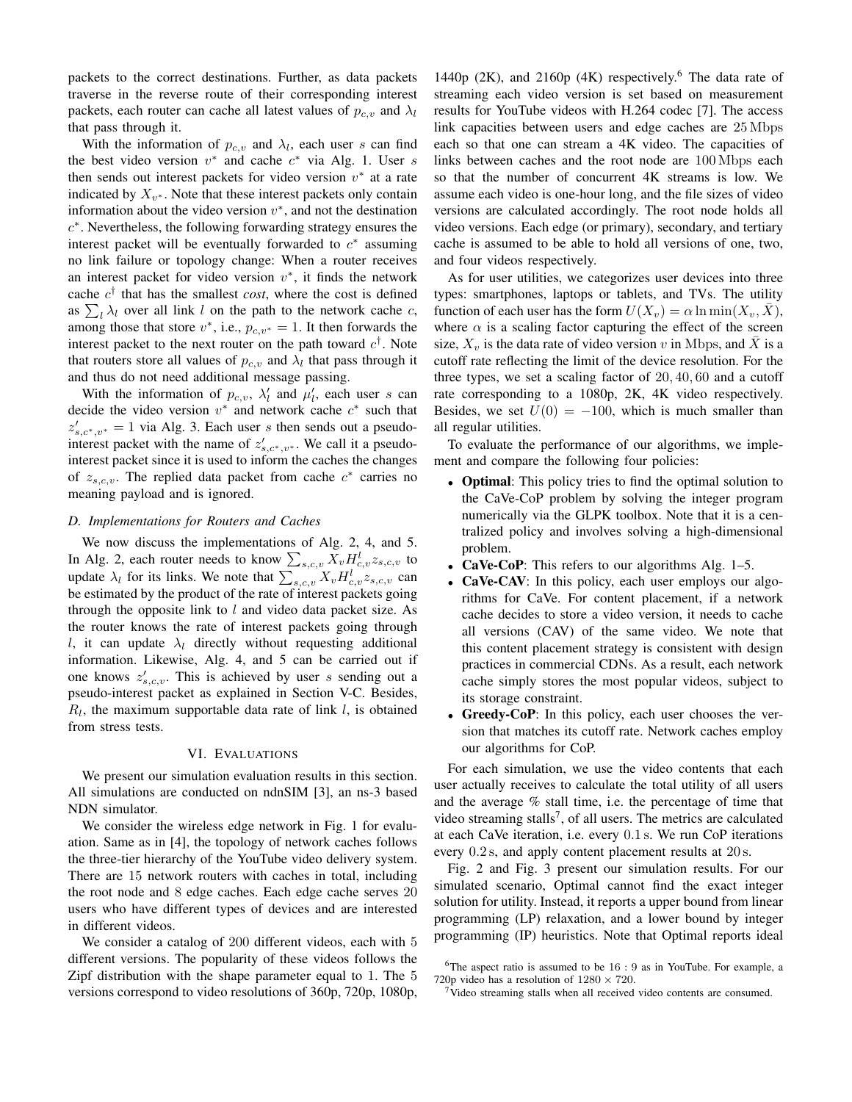packets to the correct destinations. Further, as data packets traverse in the reverse route of their corresponding interest packets, each router can cache all latest values of  $p_{c,v}$  and  $\lambda_l$ that pass through it.

With the information of  $p_{c,v}$  and  $\lambda_l$ , each user s can find the best video version  $v^*$  and cache  $c^*$  via Alg. 1. User s then sends out interest packets for video version  $v^*$  at a rate indicated by  $X_{v^*}$ . Note that these interest packets only contain information about the video version  $v^*$ , and not the destination c ∗ . Nevertheless, the following forwarding strategy ensures the interest packet will be eventually forwarded to  $c^*$  assuming no link failure or topology change: When a router receives an interest packet for video version  $v^*$ , it finds the network cache  $c^{\dagger}$  that has the smallest *cost*, where the cost is defined as  $\sum_l \lambda_l$  over all link l on the path to the network cache c, among those that store  $v^*$ , i.e.,  $p_{c,v^*} = 1$ . It then forwards the interest packet to the next router on the path toward  $c^{\dagger}$ . Note that routers store all values of  $p_{c,v}$  and  $\lambda_l$  that pass through it and thus do not need additional message passing.

With the information of  $p_{c,v}$ ,  $\lambda'_l$  and  $\mu'_l$ , each user s can decide the video version  $v^*$  and network cache  $c^*$  such that  $z'_{s,c^*,v^*} = 1$  via Alg. 3. Each user s then sends out a pseudointerest packet with the name of  $z'_{s,c^*,v^*}$ . We call it a pseudointerest packet since it is used to inform the caches the changes of  $z_{s,c,v}$ . The replied data packet from cache  $c^*$  carries no meaning payload and is ignored.

#### *D. Implementations for Routers and Caches*

We now discuss the implementations of Alg. 2, 4, and 5. In Alg. 2, each router needs to know  $\sum_{s,c,v} X_v H_{c,v}^l z_{s,c,v}$  to update  $\lambda_l$  for its links. We note that  $\sum_{s,c,v} X_v H_{c,v}^l z_{s,c,v}$  can be estimated by the product of the rate of interest packets going through the opposite link to  $l$  and video data packet size. As the router knows the rate of interest packets going through l, it can update  $\lambda_l$  directly without requesting additional information. Likewise, Alg. 4, and 5 can be carried out if one knows  $z'_{s,c,v}$ . This is achieved by user s sending out a pseudo-interest packet as explained in Section V-C. Besides,  $R_l$ , the maximum supportable data rate of link  $l$ , is obtained from stress tests.

#### VI. EVALUATIONS

We present our simulation evaluation results in this section. All simulations are conducted on ndnSIM [3], an ns-3 based NDN simulator.

We consider the wireless edge network in Fig. 1 for evaluation. Same as in [4], the topology of network caches follows the three-tier hierarchy of the YouTube video delivery system. There are 15 network routers with caches in total, including the root node and 8 edge caches. Each edge cache serves 20 users who have different types of devices and are interested in different videos.

We consider a catalog of 200 different videos, each with 5 different versions. The popularity of these videos follows the Zipf distribution with the shape parameter equal to 1. The 5 versions correspond to video resolutions of 360p, 720p, 1080p,

1440p (2K), and 2160p (4K) respectively.<sup>6</sup> The data rate of streaming each video version is set based on measurement results for YouTube videos with H.264 codec [7]. The access link capacities between users and edge caches are 25 Mbps each so that one can stream a 4K video. The capacities of links between caches and the root node are 100 Mbps each so that the number of concurrent 4K streams is low. We assume each video is one-hour long, and the file sizes of video versions are calculated accordingly. The root node holds all video versions. Each edge (or primary), secondary, and tertiary cache is assumed to be able to hold all versions of one, two, and four videos respectively.

As for user utilities, we categorizes user devices into three types: smartphones, laptops or tablets, and TVs. The utility function of each user has the form  $U(X_v) = \alpha \ln \min(X_v, \bar{X})$ , where  $\alpha$  is a scaling factor capturing the effect of the screen size,  $X_v$  is the data rate of video version v in Mbps, and  $\bar{X}$  is a cutoff rate reflecting the limit of the device resolution. For the three types, we set a scaling factor of 20, 40, 60 and a cutoff rate corresponding to a 1080p, 2K, 4K video respectively. Besides, we set  $U(0) = -100$ , which is much smaller than all regular utilities.

To evaluate the performance of our algorithms, we implement and compare the following four policies:

- Optimal: This policy tries to find the optimal solution to the CaVe-CoP problem by solving the integer program numerically via the GLPK toolbox. Note that it is a centralized policy and involves solving a high-dimensional problem.
- CaVe-CoP: This refers to our algorithms Alg. 1–5.
- CaVe-CAV: In this policy, each user employs our algorithms for CaVe. For content placement, if a network cache decides to store a video version, it needs to cache all versions (CAV) of the same video. We note that this content placement strategy is consistent with design practices in commercial CDNs. As a result, each network cache simply stores the most popular videos, subject to its storage constraint.
- Greedy-CoP: In this policy, each user chooses the version that matches its cutoff rate. Network caches employ our algorithms for CoP.

For each simulation, we use the video contents that each user actually receives to calculate the total utility of all users and the average % stall time, i.e. the percentage of time that video streaming stalls<sup>7</sup>, of all users. The metrics are calculated at each CaVe iteration, i.e. every 0.1 s. We run CoP iterations every  $0.2$  s, and apply content placement results at  $20$  s.

Fig. 2 and Fig. 3 present our simulation results. For our simulated scenario, Optimal cannot find the exact integer solution for utility. Instead, it reports a upper bound from linear programming (LP) relaxation, and a lower bound by integer programming (IP) heuristics. Note that Optimal reports ideal

<sup>&</sup>lt;sup>6</sup>The aspect ratio is assumed to be  $16:9$  as in YouTube. For example, a 720p video has a resolution of  $1280 \times 720$ .

<sup>7</sup>Video streaming stalls when all received video contents are consumed.